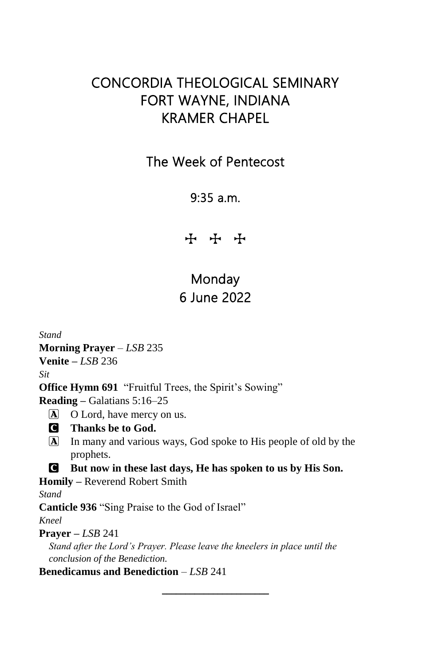### CONCORDIA THEOLOGICAL SEMINARY FORT WAYNE, INDIANA KRAMER CHAPEL

#### The Week of Pentecost

#### 9:35 a.m.

+ + +

## Monday 6 June 2022

*Stand* **Morning Prayer** – *LSB* 235 **Venite –** *LSB* 236 *Sit* **Office Hymn 691** "Fruitful Trees, the Spirit's Sowing" **Reading –** Galatians 5:16–25 A O Lord, have mercy on us. C **Thanks be to God.** A In many and various ways, God spoke to His people of old by the prophets. C **But now in these last days, He has spoken to us by His Son. Homily –** Reverend Robert Smith *Stand* **Canticle 936** "Sing Praise to the God of Israel" *Kneel* **Prayer –** *LSB* 241 *Stand after the Lord's Prayer. Please leave the kneelers in place until the conclusion of the Benediction.* **Benedicamus and Benediction** – *LSB* 241

 $\overline{\phantom{a}}$  , which is a set of the set of the set of the set of the set of the set of the set of the set of the set of the set of the set of the set of the set of the set of the set of the set of the set of the set of th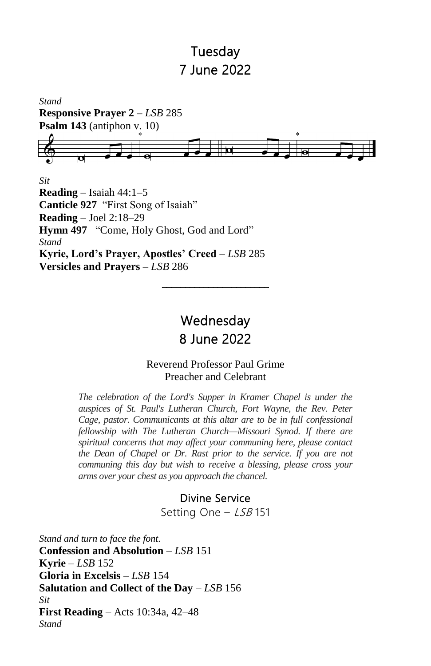# Tuesday 7 June 2022



*Sit* **Reading** – Isaiah 44:1–5 **Canticle 927** "First Song of Isaiah" **Reading** – Joel 2:18–29 **Hymn 497** "Come, Holy Ghost, God and Lord" *Stand* **Kyrie, Lord's Prayer, Apostles' Creed** – *LSB* 285 **Versicles and Prayers** – *LSB* 286

### **Wednesday** 8 June 2022

\_\_\_\_\_\_\_\_\_\_\_\_\_\_\_\_\_\_\_\_\_\_\_

Reverend Professor Paul Grime Preacher and Celebrant

*The celebration of the Lord's Supper in Kramer Chapel is under the auspices of St. Paul's Lutheran Church, Fort Wayne, the Rev. Peter Cage, pastor. Communicants at this altar are to be in full confessional fellowship with The Lutheran Church—Missouri Synod. If there are spiritual concerns that may affect your communing here, please contact the Dean of Chapel or Dr. Rast prior to the service. If you are not communing this day but wish to receive a blessing, please cross your arms over your chest as you approach the chancel.*

#### Divine Service

Setting One - LSB 151

*Stand and turn to face the font.* **Confession and Absolution** – *LSB* 151 **Kyrie** – *LSB* 152 **Gloria in Excelsis** – *LSB* 154 **Salutation and Collect of the Day** – *LSB* 156 *Sit* **First Reading** – Acts 10:34a, 42–48 *Stand*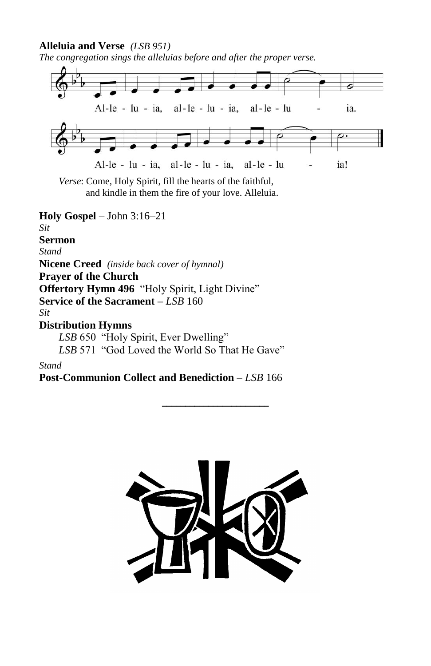#### **Alleluia and Verse** *(LSB 951)*

*The congregation sings the alleluias before and after the proper verse.*



*Verse*: Come, Holy Spirit, fill the hearts of the faithful, and kindle in them the fire of your love. Alleluia.

**Holy Gospel** – John 3:16–21

*Sit* **Sermon** *Stand*

**Nicene Creed** *(inside back cover of hymnal)*

**Prayer of the Church**

**Offertory Hymn 496** "Holy Spirit, Light Divine"

**Service of the Sacrament –** *LSB* 160

*Sit*

**Distribution Hymns**

*LSB* 650 "Holy Spirit, Ever Dwelling"

*LSB* 571 "God Loved the World So That He Gave"

*Stand*

**Post-Communion Collect and Benediction** – *LSB* 166



 $\overline{\phantom{a}}$  , where  $\overline{\phantom{a}}$